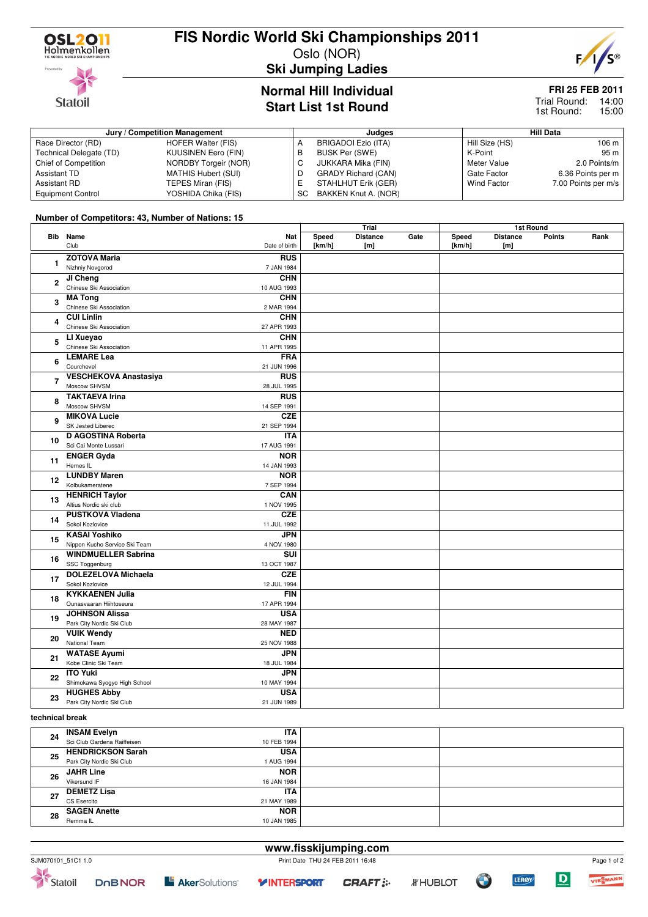

**Statoil** 

# **FIS Nordic World Ski Championships 2011**

Oslo (NOR)



**Ski Jumping Ladies**

### **Normal Hill Individual Start List 1st Round**

## **FRI 25 FEB 2011**

Trial Round: 14:00 15:00 1st Round:

| Jury / Competition Management |                      |    | Judges                     | <b>Hill Data</b>   |                     |  |
|-------------------------------|----------------------|----|----------------------------|--------------------|---------------------|--|
| Race Director (RD)            | HOFER Walter (FIS)   | A  | BRIGADOI Ezio (ITA)        | Hill Size (HS)     | 106 m               |  |
| Technical Delegate (TD)       | KUUSINEN Eero (FIN)  | В  | BUSK Per (SWE)             | K-Point            | 95 m                |  |
| Chief of Competition          | NORDBY Torgeir (NOR) | U  | JUKKARA Mika (FIN)         | Meter Value        | 2.0 Points/m        |  |
| Assistant TD                  | MATHIS Hubert (SUI)  | D  | <b>GRADY Richard (CAN)</b> | Gate Factor        | 6.36 Points per m   |  |
| Assistant RD                  | TEPES Miran (FIS)    |    | STAHLHUT Erik (GER)        | <b>Wind Factor</b> | 7.00 Points per m/s |  |
| <b>Equipment Control</b>      | YOSHIDA Chika (FIS)  | SC | BAKKEN Knut A. (NOR)       |                    |                     |  |

#### **Number of Competitors: 43, Number of Nations: 15**

|                |                                                    |                           |                 | Trial                  |      |                 | 1st Round              |        |      |
|----------------|----------------------------------------------------|---------------------------|-----------------|------------------------|------|-----------------|------------------------|--------|------|
|                | <b>Bib</b> Name<br>Club                            | Nat<br>Date of birth      | Speed<br>[km/h] | <b>Distance</b><br>[m] | Gate | Speed<br>[km/h] | <b>Distance</b><br>[m] | Points | Rank |
| 1              | <b>ZOTOVA Maria</b>                                | <b>RUS</b><br>7 JAN 1984  |                 |                        |      |                 |                        |        |      |
|                | Nizhniy Novgorod                                   |                           |                 |                        |      |                 |                        |        |      |
| $\mathbf{2}$   | JI Cheng                                           | <b>CHN</b>                |                 |                        |      |                 |                        |        |      |
|                | Chinese Ski Association                            | 10 AUG 1993               |                 |                        |      |                 |                        |        |      |
| 3              | <b>MA Tong</b>                                     | <b>CHN</b>                |                 |                        |      |                 |                        |        |      |
|                | Chinese Ski Association                            | 2 MAR 1994                |                 |                        |      |                 |                        |        |      |
| 4              | <b>CUI Linlin</b>                                  | <b>CHN</b>                |                 |                        |      |                 |                        |        |      |
|                | Chinese Ski Association                            | 27 APR 1993               |                 |                        |      |                 |                        |        |      |
| 5              | LI Xueyao<br>Chinese Ski Association               | <b>CHN</b><br>11 APR 1995 |                 |                        |      |                 |                        |        |      |
|                | <b>LEMARE Lea</b>                                  | <b>FRA</b>                |                 |                        |      |                 |                        |        |      |
| 6              | Courchevel                                         | 21 JUN 1996               |                 |                        |      |                 |                        |        |      |
|                | <b>VESCHEKOVA Anastasiya</b>                       | <b>RUS</b>                |                 |                        |      |                 |                        |        |      |
| $\overline{7}$ | Moscow SHVSM                                       | 28 JUL 1995               |                 |                        |      |                 |                        |        |      |
|                | <b>TAKTAEVA Irina</b>                              | <b>RUS</b>                |                 |                        |      |                 |                        |        |      |
| 8              | Moscow SHVSM                                       | 14 SEP 1991               |                 |                        |      |                 |                        |        |      |
|                | <b>MIKOVA Lucie</b>                                | <b>CZE</b>                |                 |                        |      |                 |                        |        |      |
| 9              | SK Jested Liberec                                  | 21 SEP 1994               |                 |                        |      |                 |                        |        |      |
|                | D AGOSTINA Roberta                                 | <b>ITA</b>                |                 |                        |      |                 |                        |        |      |
| 10             | Sci Cai Monte Lussari                              | 17 AUG 1991               |                 |                        |      |                 |                        |        |      |
|                | <b>ENGER Gyda</b>                                  | <b>NOR</b>                |                 |                        |      |                 |                        |        |      |
| 11             | Hernes IL                                          | 14 JAN 1993               |                 |                        |      |                 |                        |        |      |
|                | <b>LUNDBY Maren</b>                                | <b>NOR</b>                |                 |                        |      |                 |                        |        |      |
| 12             | Kolbukameratene                                    | 7 SEP 1994                |                 |                        |      |                 |                        |        |      |
|                | <b>HENRICH Taylor</b>                              | CAN                       |                 |                        |      |                 |                        |        |      |
| 13             | Altius Nordic ski club                             | 1 NOV 1995                |                 |                        |      |                 |                        |        |      |
| 14             | <b>PUSTKOVA Vladena</b>                            | <b>CZE</b>                |                 |                        |      |                 |                        |        |      |
|                | Sokol Kozlovice                                    | 11 JUL 1992               |                 |                        |      |                 |                        |        |      |
| 15             | <b>KASAI Yoshiko</b>                               | JPN                       |                 |                        |      |                 |                        |        |      |
|                | Nippon Kucho Service Ski Team                      | 4 NOV 1980                |                 |                        |      |                 |                        |        |      |
| 16             | <b>WINDMUELLER Sabrina</b>                         | SUI                       |                 |                        |      |                 |                        |        |      |
|                | SSC Toggenburg                                     | 13 OCT 1987               |                 |                        |      |                 |                        |        |      |
| 17             | <b>DOLEZELOVA Michaela</b>                         | <b>CZE</b>                |                 |                        |      |                 |                        |        |      |
|                | Sokol Kozlovice                                    | 12 JUL 1994               |                 |                        |      |                 |                        |        |      |
| 18             | <b>KYKKAENEN Julia</b>                             | <b>FIN</b>                |                 |                        |      |                 |                        |        |      |
|                | Ounasvaaran Hiihtoseura                            | 17 APR 1994               |                 |                        |      |                 |                        |        |      |
| 19             | <b>JOHNSON Alissa</b>                              | <b>USA</b>                |                 |                        |      |                 |                        |        |      |
|                | Park City Nordic Ski Club                          | 28 MAY 1987               |                 |                        |      |                 |                        |        |      |
| 20             | <b>VUIK Wendy</b>                                  | <b>NED</b>                |                 |                        |      |                 |                        |        |      |
|                | National Team                                      | 25 NOV 1988               |                 |                        |      |                 |                        |        |      |
| 21             | <b>WATASE Ayumi</b>                                | <b>JPN</b>                |                 |                        |      |                 |                        |        |      |
|                | Kobe Clinic Ski Team<br><b>ITO Yuki</b>            | 18 JUL 1984               |                 |                        |      |                 |                        |        |      |
| 22             |                                                    | <b>JPN</b><br>10 MAY 1994 |                 |                        |      |                 |                        |        |      |
|                | Shimokawa Syogyo High School<br><b>HUGHES Abby</b> | <b>USA</b>                |                 |                        |      |                 |                        |        |      |
| 23             | Park City Nordic Ski Club                          | 21 JUN 1989               |                 |                        |      |                 |                        |        |      |
|                |                                                    |                           |                 |                        |      |                 |                        |        |      |

#### **technical break**

| 24 | <b>INSAM Evelyn</b>         | ITA         |  |
|----|-----------------------------|-------------|--|
|    | Sci Club Gardena Raiffeisen | 10 FEB 1994 |  |
| 25 | <b>HENDRICKSON Sarah</b>    | <b>USA</b>  |  |
|    | Park City Nordic Ski Club   | 1 AUG 1994  |  |
| 26 | <b>JAHR Line</b>            | <b>NOR</b>  |  |
|    | Vikersund IF                | 16 JAN 1984 |  |
| 27 | <b>DEMETZ Lisa</b>          | <b>ITA</b>  |  |
|    | CS Esercito                 | 21 MAY 1989 |  |
| 28 | <b>SAGEN Anette</b>         | <b>NOR</b>  |  |
|    | Remma <sub>IL</sub>         | 10 JAN 1985 |  |

### **www.fisskijumping.com** SJM070101\_51C1 1.0 Print Date THU 24 FEB 2011 16:48





Page 1 of 2

VIESMANN